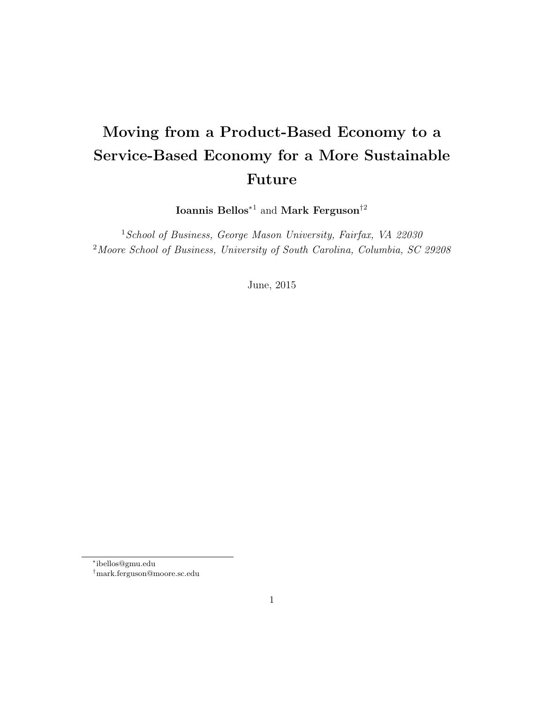# Moving from a Product-Based Economy to a Service-Based Economy for a More Sustainable Future

Ioannis Bellos<br/>\*1 and Mark Ferguson $^{\dagger2}$ 

<sup>1</sup>School of Business, George Mason University, Fairfax, VA 22030 <sup>2</sup> Moore School of Business, University of South Carolina, Columbia, SC 29208

June, 2015

<sup>∗</sup> [ibellos@gmu.edu](mailto:ibellos@gmu.edu)

<sup>†</sup>[mark.ferguson@moore.sc.edu](mailto:mark.ferguson@moore.sc.edu)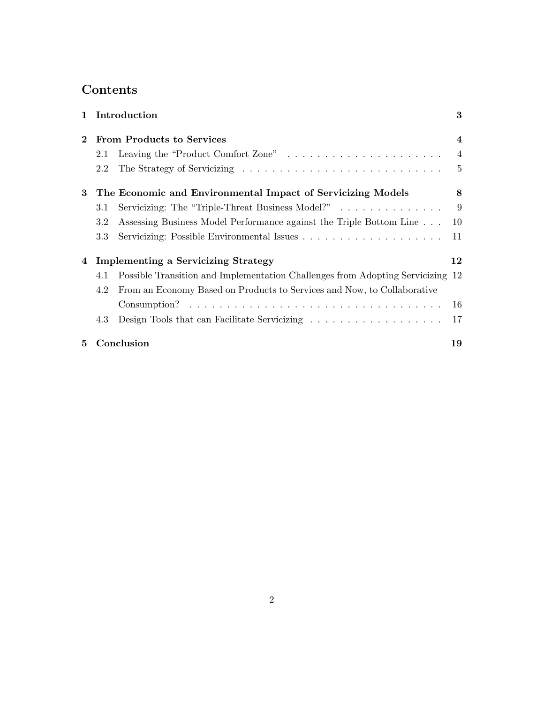# Contents

| $\mathbf{1}$ | Introduction                                                                          | 3                       |
|--------------|---------------------------------------------------------------------------------------|-------------------------|
| $\bf{2}$     | <b>From Products to Services</b>                                                      | $\overline{\mathbf{4}}$ |
|              | 2.1                                                                                   | $\overline{4}$          |
|              | 2.2                                                                                   | 5                       |
| 3            | The Economic and Environmental Impact of Servicizing Models                           | 8                       |
|              | Servicizing: The "Triple-Threat Business Model?"<br>3.1                               | 9                       |
|              | Assessing Business Model Performance against the Triple Bottom Line<br>3.2            | 10                      |
|              | $3.3\,$                                                                               | 11                      |
| 4            | <b>Implementing a Servicizing Strategy</b>                                            | 12                      |
|              | Possible Transition and Implementation Challenges from Adopting Servicizing 12<br>4.1 |                         |
|              | From an Economy Based on Products to Services and Now, to Collaborative<br>4.2        |                         |
|              |                                                                                       | 16                      |
|              | 4.3                                                                                   | 17                      |
| 5            | Conclusion                                                                            | 19                      |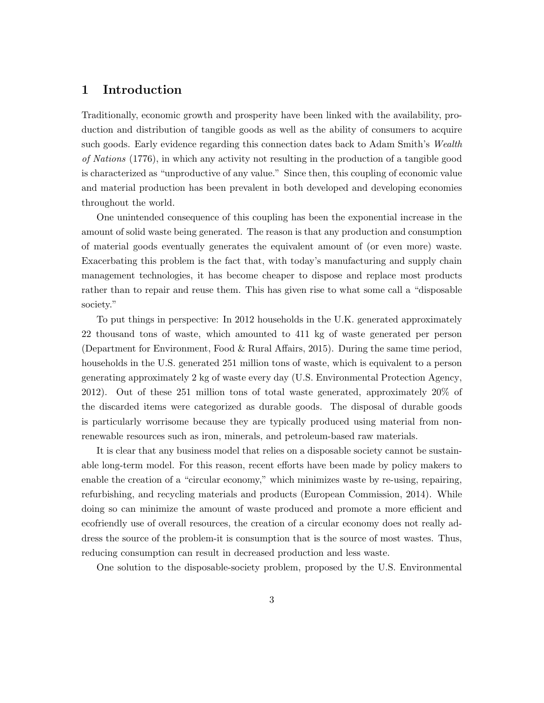### <span id="page-2-1"></span><span id="page-2-0"></span>1 Introduction

Traditionally, economic growth and prosperity have been linked with the availability, production and distribution of tangible goods as well as the ability of consumers to acquire such goods. Early evidence regarding this connection dates back to Adam Smith's Wealth of Nations (1776), in which any activity not resulting in the production of a tangible good is characterized as "unproductive of any value." Since then, this coupling of economic value and material production has been prevalent in both developed and developing economies throughout the world.

One unintended consequence of this coupling has been the exponential increase in the amount of solid waste being generated. The reason is that any production and consumption of material goods eventually generates the equivalent amount of (or even more) waste. Exacerbating this problem is the fact that, with today's manufacturing and supply chain management technologies, it has become cheaper to dispose and replace most products rather than to repair and reuse them. This has given rise to what some call a "disposable society."

To put things in perspective: In 2012 households in the U.K. generated approximately 22 thousand tons of waste, which amounted to 411 kg of waste generated per person [\(Department for Environment, Food & Rural Affairs, 2015\)](#page-21-0). During the same time period, households in the U.S. generated 251 million tons of waste, which is equivalent to a person generating approximately 2 kg of waste every day [\(U.S. Environmental Protection Agency,](#page-24-0) [2012\)](#page-24-0). Out of these 251 million tons of total waste generated, approximately 20% of the discarded items were categorized as durable goods. The disposal of durable goods is particularly worrisome because they are typically produced using material from nonrenewable resources such as iron, minerals, and petroleum-based raw materials.

It is clear that any business model that relies on a disposable society cannot be sustainable long-term model. For this reason, recent efforts have been made by policy makers to enable the creation of a "circular economy," which minimizes waste by re-using, repairing, refurbishing, and recycling materials and products [\(European Commission, 2014\)](#page-21-1). While doing so can minimize the amount of waste produced and promote a more efficient and ecofriendly use of overall resources, the creation of a circular economy does not really address the source of the problem-it is consumption that is the source of most wastes. Thus, reducing consumption can result in decreased production and less waste.

One solution to the disposable-society problem, proposed by the U.S. Environmental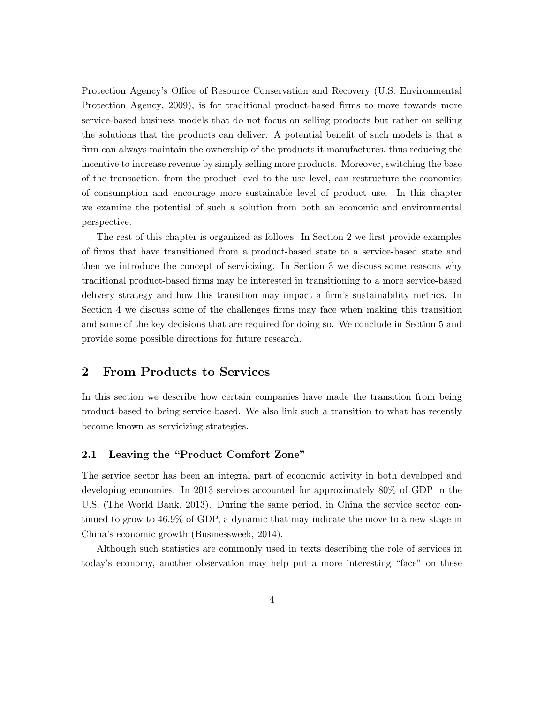<span id="page-3-2"></span>Protection Agency's Office of Resource Conservation and Recovery [\(U.S. Environmental](#page-24-1) [Protection Agency, 2009\)](#page-24-1), is for traditional product-based firms to move towards more service-based business models that do not focus on selling products but rather on selling the solutions that the products can deliver. A potential benefit of such models is that a firm can always maintain the ownership of the products it manufactures, thus reducing the incentive to increase revenue by simply selling more products. Moreover, switching the base of the transaction, from the product level to the use level, can restructure the economics of consumption and encourage more sustainable level of product use. In this chapter we examine the potential of such a solution from both an economic and environmental perspective.

The rest of this chapter is organized as follows. In Section 2 we first provide examples of firms that have transitioned from a product-based state to a service-based state and then we introduce the concept of servicizing. In Section 3 we discuss some reasons why traditional product-based firms may be interested in transitioning to a more service-based delivery strategy and how this transition may impact a firm's sustainability metrics. In Section 4 we discuss some of the challenges firms may face when making this transition and some of the key decisions that are required for doing so. We conclude in Section 5 and provide some possible directions for future research.

# <span id="page-3-0"></span>2 From Products to Services

In this section we describe how certain companies have made the transition from being product-based to being service-based. We also link such a transition to what has recently become known as servicizing strategies.

#### <span id="page-3-1"></span>2.1 Leaving the "Product Comfort Zone"

The service sector has been an integral part of economic activity in both developed and developing economies. In 2013 services accounted for approximately 80% of GDP in the U.S. [\(The World Bank, 2013\)](#page-23-0). During the same period, in China the service sector continued to grow to 46.9% of GDP, a dynamic that may indicate the move to a new stage in China's economic growth [\(Businessweek, 2014\)](#page-20-0).

Although such statistics are commonly used in texts describing the role of services in today's economy, another observation may help put a more interesting "face" on these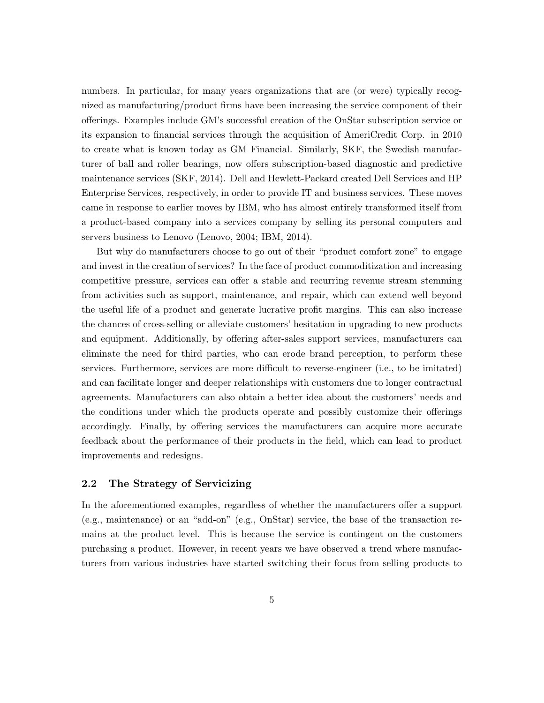<span id="page-4-1"></span>numbers. In particular, for many years organizations that are (or were) typically recognized as manufacturing/product firms have been increasing the service component of their offerings. Examples include GM's successful creation of the OnStar subscription service or its expansion to financial services through the acquisition of AmeriCredit Corp. in 2010 to create what is known today as GM Financial. Similarly, SKF, the Swedish manufacturer of ball and roller bearings, now offers subscription-based diagnostic and predictive maintenance services [\(SKF, 2014\)](#page-23-1). Dell and Hewlett-Packard created Dell Services and HP Enterprise Services, respectively, in order to provide IT and business services. These moves came in response to earlier moves by IBM, who has almost entirely transformed itself from a product-based company into a services company by selling its personal computers and servers business to Lenovo [\(Lenovo, 2004;](#page-22-0) [IBM, 2014\)](#page-22-1).

But why do manufacturers choose to go out of their "product comfort zone" to engage and invest in the creation of services? In the face of product commoditization and increasing competitive pressure, services can offer a stable and recurring revenue stream stemming from activities such as support, maintenance, and repair, which can extend well beyond the useful life of a product and generate lucrative profit margins. This can also increase the chances of cross-selling or alleviate customers' hesitation in upgrading to new products and equipment. Additionally, by offering after-sales support services, manufacturers can eliminate the need for third parties, who can erode brand perception, to perform these services. Furthermore, services are more difficult to reverse-engineer (i.e., to be imitated) and can facilitate longer and deeper relationships with customers due to longer contractual agreements. Manufacturers can also obtain a better idea about the customers' needs and the conditions under which the products operate and possibly customize their offerings accordingly. Finally, by offering services the manufacturers can acquire more accurate feedback about the performance of their products in the field, which can lead to product improvements and redesigns.

#### <span id="page-4-0"></span>2.2 The Strategy of Servicizing

In the aforementioned examples, regardless of whether the manufacturers offer a support (e.g., maintenance) or an "add-on" (e.g., OnStar) service, the base of the transaction remains at the product level. This is because the service is contingent on the customers purchasing a product. However, in recent years we have observed a trend where manufacturers from various industries have started switching their focus from selling products to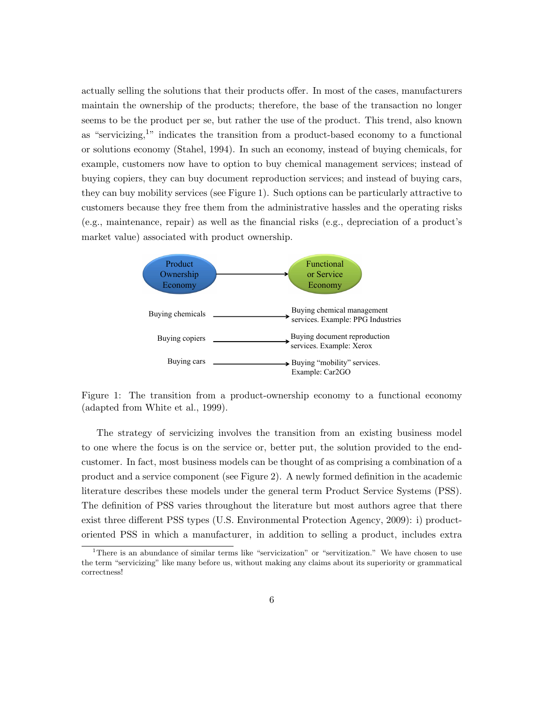<span id="page-5-2"></span>actually selling the solutions that their products offer. In most of the cases, manufacturers maintain the ownership of the products; therefore, the base of the transaction no longer seems to be the product per se, but rather the use of the product. This trend, also known as "servicizing,[1](#page-5-0)" indicates the transition from a product-based economy to a functional or solutions economy [\(Stahel, 1994\)](#page-23-2). In such an economy, instead of buying chemicals, for example, customers now have to option to buy chemical management services; instead of buying copiers, they can buy document reproduction services; and instead of buying cars, they can buy mobility services (see Figure [1\)](#page-5-1). Such options can be particularly attractive to customers because they free them from the administrative hassles and the operating risks (e.g., maintenance, repair) as well as the financial risks (e.g., depreciation of a product's market value) associated with product ownership.



<span id="page-5-1"></span>Figure 1: The transition from a product-ownership economy to a functional economy (adapted from [White et al., 1999\)](#page-24-2).

The strategy of servicizing involves the transition from an existing business model to one where the focus is on the service or, better put, the solution provided to the endcustomer. In fact, most business models can be thought of as comprising a combination of a product and a service component (see Figure [2\)](#page-6-0). A newly formed definition in the academic literature describes these models under the general term Product Service Systems (PSS). The definition of PSS varies throughout the literature but most authors agree that there exist three different PSS types [\(U.S. Environmental Protection Agency, 2009\)](#page-24-1): i) productoriented PSS in which a manufacturer, in addition to selling a product, includes extra

<span id="page-5-0"></span><sup>&</sup>lt;sup>1</sup>There is an abundance of similar terms like "servicization" or "servitization." We have chosen to use the term "servicizing" like many before us, without making any claims about its superiority or grammatical correctness!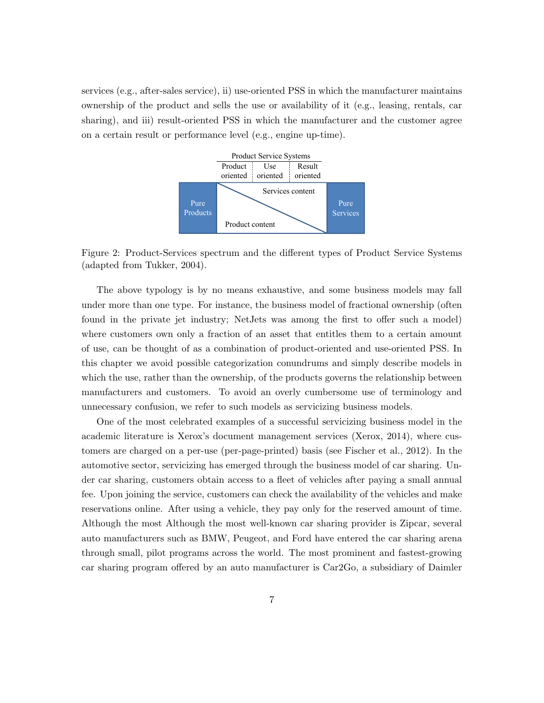<span id="page-6-1"></span>services (e.g., after-sales service), ii) use-oriented PSS in which the manufacturer maintains ownership of the product and sells the use or availability of it (e.g., leasing, rentals, car sharing), and iii) result-oriented PSS in which the manufacturer and the customer agree on a certain result or performance level (e.g., engine up-time).



<span id="page-6-0"></span>Figure 2: Product-Services spectrum and the different types of Product Service Systems (adapted from [Tukker, 2004\)](#page-24-3).

The above typology is by no means exhaustive, and some business models may fall under more than one type. For instance, the business model of fractional ownership (often found in the private jet industry; NetJets was among the first to offer such a model) where customers own only a fraction of an asset that entitles them to a certain amount of use, can be thought of as a combination of product-oriented and use-oriented PSS. In this chapter we avoid possible categorization conundrums and simply describe models in which the use, rather than the ownership, of the products governs the relationship between manufacturers and customers. To avoid an overly cumbersome use of terminology and unnecessary confusion, we refer to such models as servicizing business models.

One of the most celebrated examples of a successful servicizing business model in the academic literature is Xerox's document management services [\(Xerox, 2014\)](#page-24-4), where customers are charged on a per-use (per-page-printed) basis (see [Fischer et al., 2012\)](#page-21-2). In the automotive sector, servicizing has emerged through the business model of car sharing. Under car sharing, customers obtain access to a fleet of vehicles after paying a small annual fee. Upon joining the service, customers can check the availability of the vehicles and make reservations online. After using a vehicle, they pay only for the reserved amount of time. Although the most Although the most well-known car sharing provider is Zipcar, several auto manufacturers such as BMW, Peugeot, and Ford have entered the car sharing arena through small, pilot programs across the world. The most prominent and fastest-growing car sharing program offered by an auto manufacturer is Car2Go, a subsidiary of Daimler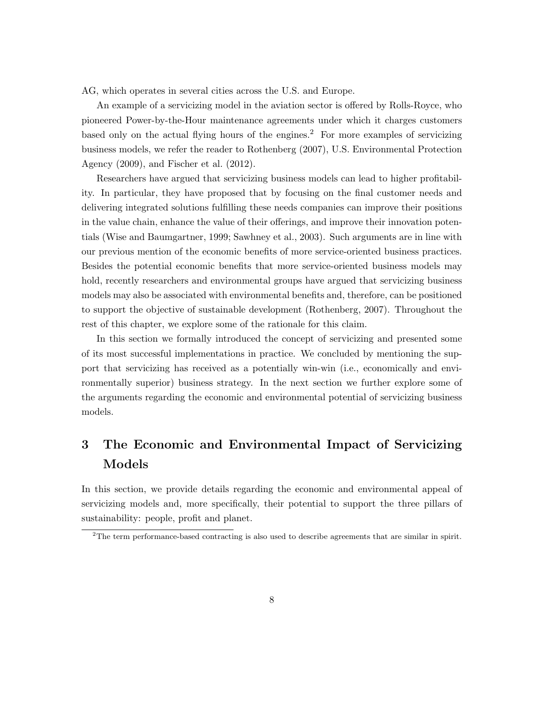<span id="page-7-2"></span>AG, which operates in several cities across the U.S. and Europe.

An example of a servicizing model in the aviation sector is offered by Rolls-Royce, who pioneered Power-by-the-Hour maintenance agreements under which it charges customers based only on the actual flying hours of the engines.[2](#page-7-1) For more examples of servicizing business models, we refer the reader to [Rothenberg](#page-22-2) [\(2007\)](#page-22-2), [U.S. Environmental Protection](#page-24-1) [Agency](#page-24-1) [\(2009\)](#page-24-1), and [Fischer et al.](#page-21-2) [\(2012\)](#page-21-2).

Researchers have argued that servicizing business models can lead to higher profitability. In particular, they have proposed that by focusing on the final customer needs and delivering integrated solutions fulfilling these needs companies can improve their positions in the value chain, enhance the value of their offerings, and improve their innovation potentials [\(Wise and Baumgartner, 1999;](#page-24-5) [Sawhney et al., 2003\)](#page-23-3). Such arguments are in line with our previous mention of the economic benefits of more service-oriented business practices. Besides the potential economic benefits that more service-oriented business models may hold, recently researchers and environmental groups have argued that servicizing business models may also be associated with environmental benefits and, therefore, can be positioned to support the objective of sustainable development [\(Rothenberg, 2007\)](#page-22-2). Throughout the rest of this chapter, we explore some of the rationale for this claim.

In this section we formally introduced the concept of servicizing and presented some of its most successful implementations in practice. We concluded by mentioning the support that servicizing has received as a potentially win-win (i.e., economically and environmentally superior) business strategy. In the next section we further explore some of the arguments regarding the economic and environmental potential of servicizing business models.

# <span id="page-7-0"></span>3 The Economic and Environmental Impact of Servicizing Models

In this section, we provide details regarding the economic and environmental appeal of servicizing models and, more specifically, their potential to support the three pillars of sustainability: people, profit and planet.

<span id="page-7-1"></span><sup>2</sup>The term performance-based contracting is also used to describe agreements that are similar in spirit.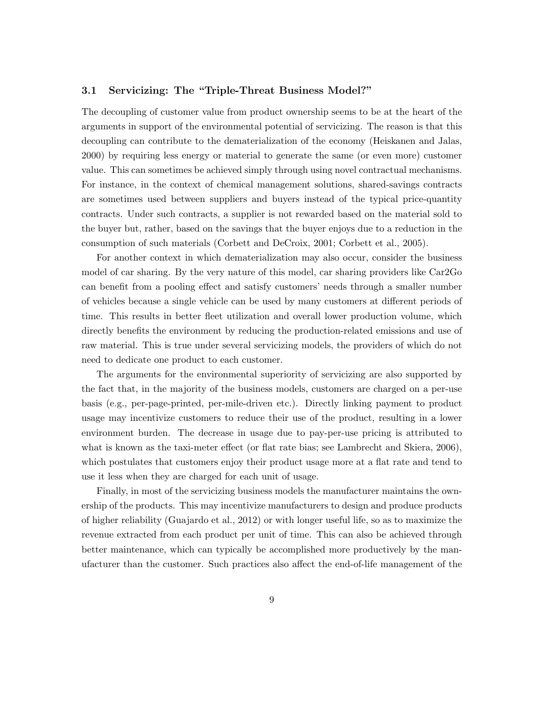### <span id="page-8-1"></span><span id="page-8-0"></span>3.1 Servicizing: The "Triple-Threat Business Model?"

The decoupling of customer value from product ownership seems to be at the heart of the arguments in support of the environmental potential of servicizing. The reason is that this decoupling can contribute to the dematerialization of the economy [\(Heiskanen and Jalas,](#page-22-3) [2000\)](#page-22-3) by requiring less energy or material to generate the same (or even more) customer value. This can sometimes be achieved simply through using novel contractual mechanisms. For instance, in the context of chemical management solutions, shared-savings contracts are sometimes used between suppliers and buyers instead of the typical price-quantity contracts. Under such contracts, a supplier is not rewarded based on the material sold to the buyer but, rather, based on the savings that the buyer enjoys due to a reduction in the consumption of such materials [\(Corbett and DeCroix, 2001;](#page-21-3) [Corbett et al., 2005\)](#page-21-4).

For another context in which dematerialization may also occur, consider the business model of car sharing. By the very nature of this model, car sharing providers like Car2Go can benefit from a pooling effect and satisfy customers' needs through a smaller number of vehicles because a single vehicle can be used by many customers at different periods of time. This results in better fleet utilization and overall lower production volume, which directly benefits the environment by reducing the production-related emissions and use of raw material. This is true under several servicizing models, the providers of which do not need to dedicate one product to each customer.

The arguments for the environmental superiority of servicizing are also supported by the fact that, in the majority of the business models, customers are charged on a per-use basis (e.g., per-page-printed, per-mile-driven etc.). Directly linking payment to product usage may incentivize customers to reduce their use of the product, resulting in a lower environment burden. The decrease in usage due to pay-per-use pricing is attributed to what is known as the taxi-meter effect (or flat rate bias; see [Lambrecht and Skiera, 2006\)](#page-22-4), which postulates that customers enjoy their product usage more at a flat rate and tend to use it less when they are charged for each unit of usage.

Finally, in most of the servicizing business models the manufacturer maintains the ownership of the products. This may incentivize manufacturers to design and produce products of higher reliability [\(Guajardo et al., 2012\)](#page-22-5) or with longer useful life, so as to maximize the revenue extracted from each product per unit of time. This can also be achieved through better maintenance, which can typically be accomplished more productively by the manufacturer than the customer. Such practices also affect the end-of-life management of the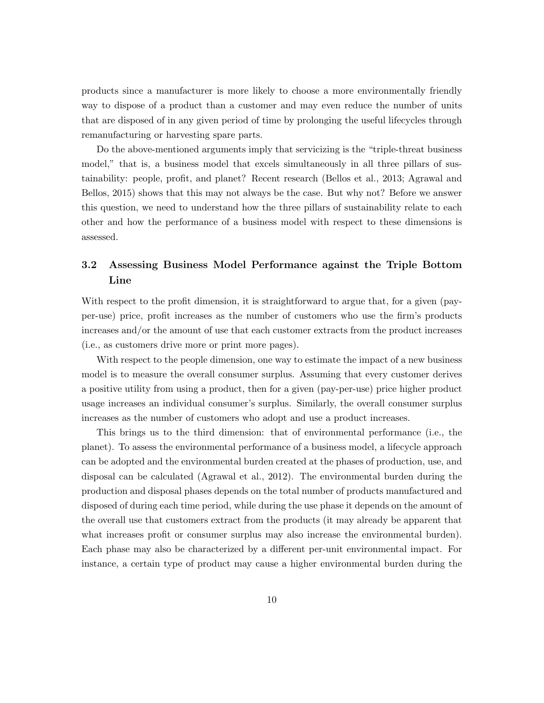<span id="page-9-1"></span>products since a manufacturer is more likely to choose a more environmentally friendly way to dispose of a product than a customer and may even reduce the number of units that are disposed of in any given period of time by prolonging the useful lifecycles through remanufacturing or harvesting spare parts.

Do the above-mentioned arguments imply that servicizing is the "triple-threat business model," that is, a business model that excels simultaneously in all three pillars of sustainability: people, profit, and planet? Recent research [\(Bellos et al., 2013;](#page-20-1) [Agrawal and](#page-20-2) [Bellos, 2015\)](#page-20-2) shows that this may not always be the case. But why not? Before we answer this question, we need to understand how the three pillars of sustainability relate to each other and how the performance of a business model with respect to these dimensions is assessed.

# <span id="page-9-0"></span>3.2 Assessing Business Model Performance against the Triple Bottom Line

With respect to the profit dimension, it is straightforward to argue that, for a given (payper-use) price, profit increases as the number of customers who use the firm's products increases and/or the amount of use that each customer extracts from the product increases (i.e., as customers drive more or print more pages).

With respect to the people dimension, one way to estimate the impact of a new business model is to measure the overall consumer surplus. Assuming that every customer derives a positive utility from using a product, then for a given (pay-per-use) price higher product usage increases an individual consumer's surplus. Similarly, the overall consumer surplus increases as the number of customers who adopt and use a product increases.

This brings us to the third dimension: that of environmental performance (i.e., the planet). To assess the environmental performance of a business model, a lifecycle approach can be adopted and the environmental burden created at the phases of production, use, and disposal can be calculated [\(Agrawal et al., 2012\)](#page-20-3). The environmental burden during the production and disposal phases depends on the total number of products manufactured and disposed of during each time period, while during the use phase it depends on the amount of the overall use that customers extract from the products (it may already be apparent that what increases profit or consumer surplus may also increase the environmental burden). Each phase may also be characterized by a different per-unit environmental impact. For instance, a certain type of product may cause a higher environmental burden during the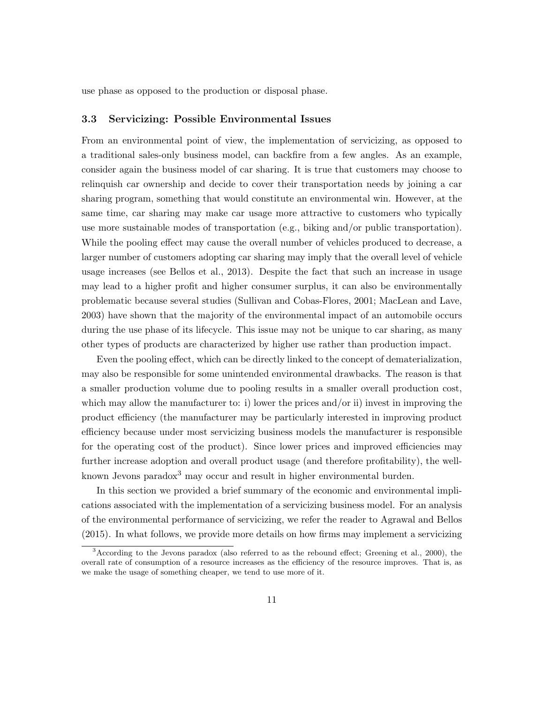<span id="page-10-2"></span>use phase as opposed to the production or disposal phase.

#### <span id="page-10-0"></span>3.3 Servicizing: Possible Environmental Issues

From an environmental point of view, the implementation of servicizing, as opposed to a traditional sales-only business model, can backfire from a few angles. As an example, consider again the business model of car sharing. It is true that customers may choose to relinquish car ownership and decide to cover their transportation needs by joining a car sharing program, something that would constitute an environmental win. However, at the same time, car sharing may make car usage more attractive to customers who typically use more sustainable modes of transportation (e.g., biking and/or public transportation). While the pooling effect may cause the overall number of vehicles produced to decrease, a larger number of customers adopting car sharing may imply that the overall level of vehicle usage increases (see [Bellos et al., 2013\)](#page-20-1). Despite the fact that such an increase in usage may lead to a higher profit and higher consumer surplus, it can also be environmentally problematic because several studies [\(Sullivan and Cobas-Flores, 2001;](#page-23-4) [MacLean and Lave,](#page-22-6) [2003\)](#page-22-6) have shown that the majority of the environmental impact of an automobile occurs during the use phase of its lifecycle. This issue may not be unique to car sharing, as many other types of products are characterized by higher use rather than production impact.

Even the pooling effect, which can be directly linked to the concept of dematerialization, may also be responsible for some unintended environmental drawbacks. The reason is that a smaller production volume due to pooling results in a smaller overall production cost, which may allow the manufacturer to: i) lower the prices and/or ii) invest in improving the product efficiency (the manufacturer may be particularly interested in improving product efficiency because under most servicizing business models the manufacturer is responsible for the operating cost of the product). Since lower prices and improved efficiencies may further increase adoption and overall product usage (and therefore profitability), the well-known Jevons paradox<sup>[3](#page-10-1)</sup> may occur and result in higher environmental burden.

In this section we provided a brief summary of the economic and environmental implications associated with the implementation of a servicizing business model. For an analysis of the environmental performance of servicizing, we refer the reader to [Agrawal and Bellos](#page-20-2) [\(2015\)](#page-20-2). In what follows, we provide more details on how firms may implement a servicizing

<span id="page-10-1"></span><sup>&</sup>lt;sup>3</sup> According to the Jevons paradox (also referred to as the rebound effect; [Greening et al., 2000\)](#page-21-5), the overall rate of consumption of a resource increases as the efficiency of the resource improves. That is, as we make the usage of something cheaper, we tend to use more of it.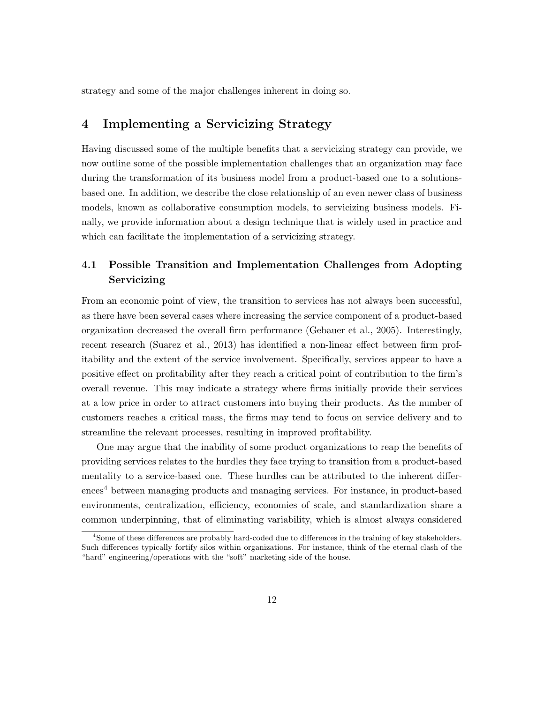strategy and some of the major challenges inherent in doing so.

# <span id="page-11-0"></span>4 Implementing a Servicizing Strategy

Having discussed some of the multiple benefits that a servicizing strategy can provide, we now outline some of the possible implementation challenges that an organization may face during the transformation of its business model from a product-based one to a solutionsbased one. In addition, we describe the close relationship of an even newer class of business models, known as collaborative consumption models, to servicizing business models. Finally, we provide information about a design technique that is widely used in practice and which can facilitate the implementation of a servicizing strategy.

# <span id="page-11-1"></span>4.1 Possible Transition and Implementation Challenges from Adopting Servicizing

From an economic point of view, the transition to services has not always been successful, as there have been several cases where increasing the service component of a product-based organization decreased the overall firm performance [\(Gebauer et al., 2005\)](#page-21-6). Interestingly, recent research [\(Suarez et al., 2013\)](#page-23-5) has identified a non-linear effect between firm profitability and the extent of the service involvement. Specifically, services appear to have a positive effect on profitability after they reach a critical point of contribution to the firm's overall revenue. This may indicate a strategy where firms initially provide their services at a low price in order to attract customers into buying their products. As the number of customers reaches a critical mass, the firms may tend to focus on service delivery and to streamline the relevant processes, resulting in improved profitability.

One may argue that the inability of some product organizations to reap the benefits of providing services relates to the hurdles they face trying to transition from a product-based mentality to a service-based one. These hurdles can be attributed to the inherent differences[4](#page-11-2) between managing products and managing services. For instance, in product-based environments, centralization, efficiency, economies of scale, and standardization share a common underpinning, that of eliminating variability, which is almost always considered

<span id="page-11-2"></span> $4$ Some of these differences are probably hard-coded due to differences in the training of key stakeholders. Such differences typically fortify silos within organizations. For instance, think of the eternal clash of the "hard" engineering/operations with the "soft" marketing side of the house.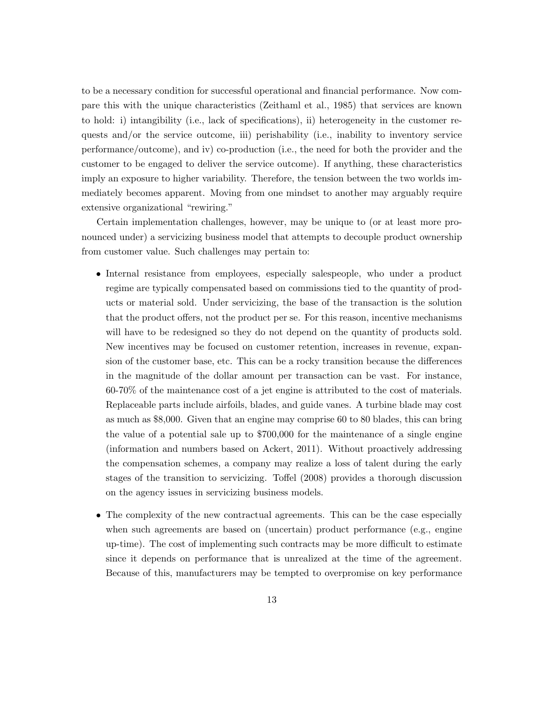<span id="page-12-0"></span>to be a necessary condition for successful operational and financial performance. Now compare this with the unique characteristics [\(Zeithaml et al., 1985\)](#page-24-6) that services are known to hold: i) intangibility (i.e., lack of specifications), ii) heterogeneity in the customer requests and/or the service outcome, iii) perishability (i.e., inability to inventory service performance/outcome), and iv) co-production (i.e., the need for both the provider and the customer to be engaged to deliver the service outcome). If anything, these characteristics imply an exposure to higher variability. Therefore, the tension between the two worlds immediately becomes apparent. Moving from one mindset to another may arguably require extensive organizational "rewiring."

Certain implementation challenges, however, may be unique to (or at least more pronounced under) a servicizing business model that attempts to decouple product ownership from customer value. Such challenges may pertain to:

- Internal resistance from employees, especially salespeople, who under a product regime are typically compensated based on commissions tied to the quantity of products or material sold. Under servicizing, the base of the transaction is the solution that the product offers, not the product per se. For this reason, incentive mechanisms will have to be redesigned so they do not depend on the quantity of products sold. New incentives may be focused on customer retention, increases in revenue, expansion of the customer base, etc. This can be a rocky transition because the differences in the magnitude of the dollar amount per transaction can be vast. For instance, 60-70% of the maintenance cost of a jet engine is attributed to the cost of materials. Replaceable parts include airfoils, blades, and guide vanes. A turbine blade may cost as much as \$8,000. Given that an engine may comprise 60 to 80 blades, this can bring the value of a potential sale up to \$700,000 for the maintenance of a single engine (information and numbers based on [Ackert, 2011\)](#page-20-4). Without proactively addressing the compensation schemes, a company may realize a loss of talent during the early stages of the transition to servicizing. [Toffel](#page-23-6) [\(2008\)](#page-23-6) provides a thorough discussion on the agency issues in servicizing business models.
- The complexity of the new contractual agreements. This can be the case especially when such agreements are based on (uncertain) product performance (e.g., engine up-time). The cost of implementing such contracts may be more difficult to estimate since it depends on performance that is unrealized at the time of the agreement. Because of this, manufacturers may be tempted to overpromise on key performance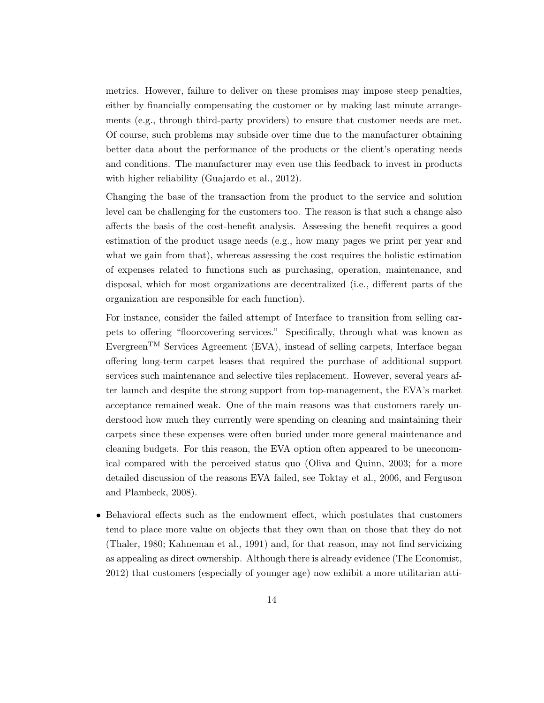<span id="page-13-0"></span>metrics. However, failure to deliver on these promises may impose steep penalties, either by financially compensating the customer or by making last minute arrangements (e.g., through third-party providers) to ensure that customer needs are met. Of course, such problems may subside over time due to the manufacturer obtaining better data about the performance of the products or the client's operating needs and conditions. The manufacturer may even use this feedback to invest in products with higher reliability [\(Guajardo et al., 2012\)](#page-22-5).

Changing the base of the transaction from the product to the service and solution level can be challenging for the customers too. The reason is that such a change also affects the basis of the cost-benefit analysis. Assessing the benefit requires a good estimation of the product usage needs (e.g., how many pages we print per year and what we gain from that), whereas assessing the cost requires the holistic estimation of expenses related to functions such as purchasing, operation, maintenance, and disposal, which for most organizations are decentralized (i.e., different parts of the organization are responsible for each function).

For instance, consider the failed attempt of Interface to transition from selling carpets to offering "floorcovering services." Specifically, through what was known as EvergreenTM Services Agreement (EVA), instead of selling carpets, Interface began offering long-term carpet leases that required the purchase of additional support services such maintenance and selective tiles replacement. However, several years after launch and despite the strong support from top-management, the EVA's market acceptance remained weak. One of the main reasons was that customers rarely understood how much they currently were spending on cleaning and maintaining their carpets since these expenses were often buried under more general maintenance and cleaning budgets. For this reason, the EVA option often appeared to be uneconomical compared with the perceived status quo [\(Oliva and Quinn, 2003;](#page-22-7) for a more detailed discussion of the reasons EVA failed, see [Toktay et al., 2006,](#page-24-7) and [Ferguson](#page-21-7) [and Plambeck, 2008\)](#page-21-7).

• Behavioral effects such as the endowment effect, which postulates that customers tend to place more value on objects that they own than on those that they do not [\(Thaler, 1980;](#page-23-7) [Kahneman et al., 1991\)](#page-22-8) and, for that reason, may not find servicizing as appealing as direct ownership. Although there is already evidence [\(The Economist,](#page-23-8) [2012\)](#page-23-8) that customers (especially of younger age) now exhibit a more utilitarian atti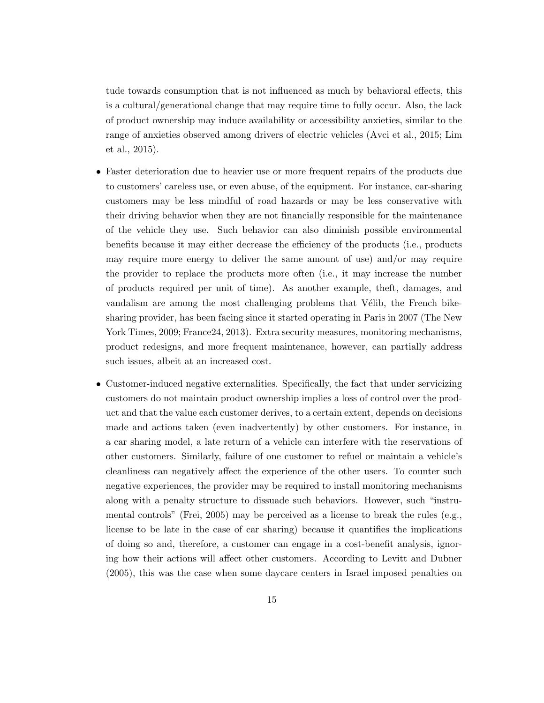<span id="page-14-0"></span>tude towards consumption that is not influenced as much by behavioral effects, this is a cultural/generational change that may require time to fully occur. Also, the lack of product ownership may induce availability or accessibility anxieties, similar to the range of anxieties observed among drivers of electric vehicles [\(Avci et al., 2015;](#page-20-5) [Lim](#page-22-9) [et al., 2015\)](#page-22-9).

- Faster deterioration due to heavier use or more frequent repairs of the products due to customers' careless use, or even abuse, of the equipment. For instance, car-sharing customers may be less mindful of road hazards or may be less conservative with their driving behavior when they are not financially responsible for the maintenance of the vehicle they use. Such behavior can also diminish possible environmental benefits because it may either decrease the efficiency of the products (i.e., products may require more energy to deliver the same amount of use) and/or may require the provider to replace the products more often (i.e., it may increase the number of products required per unit of time). As another example, theft, damages, and vandalism are among the most challenging problems that Vélib, the French bikesharing provider, has been facing since it started operating in Paris in 2007 [\(The New](#page-23-9) [York Times, 2009;](#page-23-9) [France24, 2013\)](#page-21-8). Extra security measures, monitoring mechanisms, product redesigns, and more frequent maintenance, however, can partially address such issues, albeit at an increased cost.
- Customer-induced negative externalities. Specifically, the fact that under servicizing customers do not maintain product ownership implies a loss of control over the product and that the value each customer derives, to a certain extent, depends on decisions made and actions taken (even inadvertently) by other customers. For instance, in a car sharing model, a late return of a vehicle can interfere with the reservations of other customers. Similarly, failure of one customer to refuel or maintain a vehicle's cleanliness can negatively affect the experience of the other users. To counter such negative experiences, the provider may be required to install monitoring mechanisms along with a penalty structure to dissuade such behaviors. However, such "instrumental controls" [\(Frei, 2005\)](#page-21-9) may be perceived as a license to break the rules (e.g., license to be late in the case of car sharing) because it quantifies the implications of doing so and, therefore, a customer can engage in a cost-benefit analysis, ignoring how their actions will affect other customers. According to [Levitt and Dubner](#page-22-10) [\(2005\)](#page-22-10), this was the case when some daycare centers in Israel imposed penalties on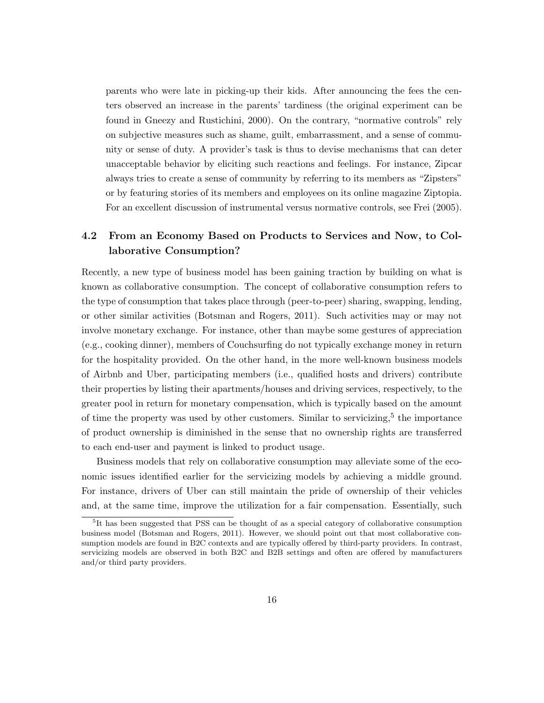<span id="page-15-2"></span>parents who were late in picking-up their kids. After announcing the fees the centers observed an increase in the parents' tardiness (the original experiment can be found in [Gneezy and Rustichini, 2000\)](#page-21-10). On the contrary, "normative controls" rely on subjective measures such as shame, guilt, embarrassment, and a sense of community or sense of duty. A provider's task is thus to devise mechanisms that can deter unacceptable behavior by eliciting such reactions and feelings. For instance, Zipcar always tries to create a sense of community by referring to its members as "Zipsters" or by featuring stories of its members and employees on its online magazine Ziptopia. For an excellent discussion of instrumental versus normative controls, see [Frei](#page-21-9) [\(2005\)](#page-21-9).

## <span id="page-15-0"></span>4.2 From an Economy Based on Products to Services and Now, to Collaborative Consumption?

Recently, a new type of business model has been gaining traction by building on what is known as collaborative consumption. The concept of collaborative consumption refers to the type of consumption that takes place through (peer-to-peer) sharing, swapping, lending, or other similar activities [\(Botsman and Rogers, 2011\)](#page-20-6). Such activities may or may not involve monetary exchange. For instance, other than maybe some gestures of appreciation (e.g., cooking dinner), members of Couchsurfing do not typically exchange money in return for the hospitality provided. On the other hand, in the more well-known business models of Airbnb and Uber, participating members (i.e., qualified hosts and drivers) contribute their properties by listing their apartments/houses and driving services, respectively, to the greater pool in return for monetary compensation, which is typically based on the amount of time the property was used by other customers. Similar to servicizing,<sup>[5](#page-15-1)</sup> the importance of product ownership is diminished in the sense that no ownership rights are transferred to each end-user and payment is linked to product usage.

Business models that rely on collaborative consumption may alleviate some of the economic issues identified earlier for the servicizing models by achieving a middle ground. For instance, drivers of Uber can still maintain the pride of ownership of their vehicles and, at the same time, improve the utilization for a fair compensation. Essentially, such

<span id="page-15-1"></span><sup>&</sup>lt;sup>5</sup>It has been suggested that PSS can be thought of as a special category of collaborative consumption business model [\(Botsman and Rogers, 2011\)](#page-20-6). However, we should point out that most collaborative consumption models are found in B2C contexts and are typically offered by third-party providers. In contrast, servicizing models are observed in both B2C and B2B settings and often are offered by manufacturers and/or third party providers.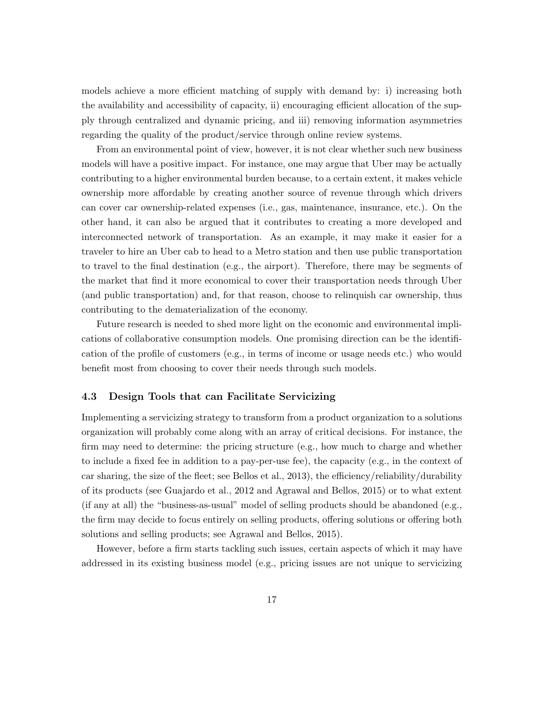<span id="page-16-1"></span>models achieve a more efficient matching of supply with demand by: i) increasing both the availability and accessibility of capacity, ii) encouraging efficient allocation of the supply through centralized and dynamic pricing, and iii) removing information asymmetries regarding the quality of the product/service through online review systems.

From an environmental point of view, however, it is not clear whether such new business models will have a positive impact. For instance, one may argue that Uber may be actually contributing to a higher environmental burden because, to a certain extent, it makes vehicle ownership more affordable by creating another source of revenue through which drivers can cover car ownership-related expenses (i.e., gas, maintenance, insurance, etc.). On the other hand, it can also be argued that it contributes to creating a more developed and interconnected network of transportation. As an example, it may make it easier for a traveler to hire an Uber cab to head to a Metro station and then use public transportation to travel to the final destination (e.g., the airport). Therefore, there may be segments of the market that find it more economical to cover their transportation needs through Uber (and public transportation) and, for that reason, choose to relinquish car ownership, thus contributing to the dematerialization of the economy.

Future research is needed to shed more light on the economic and environmental implications of collaborative consumption models. One promising direction can be the identification of the profile of customers (e.g., in terms of income or usage needs etc.) who would benefit most from choosing to cover their needs through such models.

#### <span id="page-16-0"></span>4.3 Design Tools that can Facilitate Servicizing

Implementing a servicizing strategy to transform from a product organization to a solutions organization will probably come along with an array of critical decisions. For instance, the firm may need to determine: the pricing structure (e.g., how much to charge and whether to include a fixed fee in addition to a pay-per-use fee), the capacity (e.g., in the context of car sharing, the size of the fleet; see [Bellos et al., 2013\)](#page-20-1), the efficiency/reliability/durability of its products (see [Guajardo et al., 2012](#page-22-5) and [Agrawal and Bellos, 2015\)](#page-20-2) or to what extent (if any at all) the "business-as-usual" model of selling products should be abandoned (e.g., the firm may decide to focus entirely on selling products, offering solutions or offering both solutions and selling products; see [Agrawal and Bellos, 2015\)](#page-20-2).

However, before a firm starts tackling such issues, certain aspects of which it may have addressed in its existing business model (e.g., pricing issues are not unique to servicizing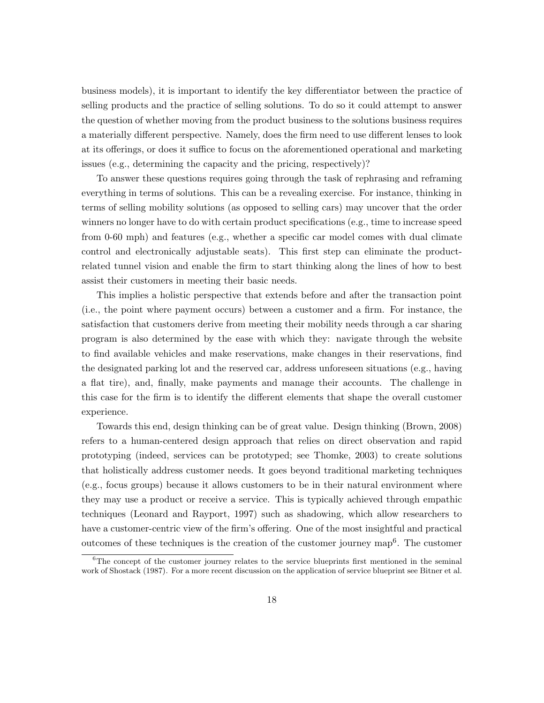<span id="page-17-1"></span>business models), it is important to identify the key differentiator between the practice of selling products and the practice of selling solutions. To do so it could attempt to answer the question of whether moving from the product business to the solutions business requires a materially different perspective. Namely, does the firm need to use different lenses to look at its offerings, or does it suffice to focus on the aforementioned operational and marketing issues (e.g., determining the capacity and the pricing, respectively)?

To answer these questions requires going through the task of rephrasing and reframing everything in terms of solutions. This can be a revealing exercise. For instance, thinking in terms of selling mobility solutions (as opposed to selling cars) may uncover that the order winners no longer have to do with certain product specifications (e.g., time to increase speed from 0-60 mph) and features (e.g., whether a specific car model comes with dual climate control and electronically adjustable seats). This first step can eliminate the productrelated tunnel vision and enable the firm to start thinking along the lines of how to best assist their customers in meeting their basic needs.

This implies a holistic perspective that extends before and after the transaction point (i.e., the point where payment occurs) between a customer and a firm. For instance, the satisfaction that customers derive from meeting their mobility needs through a car sharing program is also determined by the ease with which they: navigate through the website to find available vehicles and make reservations, make changes in their reservations, find the designated parking lot and the reserved car, address unforeseen situations (e.g., having a flat tire), and, finally, make payments and manage their accounts. The challenge in this case for the firm is to identify the different elements that shape the overall customer experience.

Towards this end, design thinking can be of great value. Design thinking [\(Brown, 2008\)](#page-20-7) refers to a human-centered design approach that relies on direct observation and rapid prototyping (indeed, services can be prototyped; see [Thomke, 2003\)](#page-23-10) to create solutions that holistically address customer needs. It goes beyond traditional marketing techniques (e.g., focus groups) because it allows customers to be in their natural environment where they may use a product or receive a service. This is typically achieved through empathic techniques [\(Leonard and Rayport, 1997\)](#page-22-11) such as shadowing, which allow researchers to have a customer-centric view of the firm's offering. One of the most insightful and practical outcomes of these techniques is the creation of the customer journey map<sup>[6](#page-17-0)</sup>. The customer

<span id="page-17-0"></span> ${}^{6}$ The concept of the customer journey relates to the service blueprints first mentioned in the seminal work of [Shostack](#page-23-11) [\(1987\)](#page-23-11). For a more recent discussion on the application of service blueprint see [Bitner et al.](#page-20-8)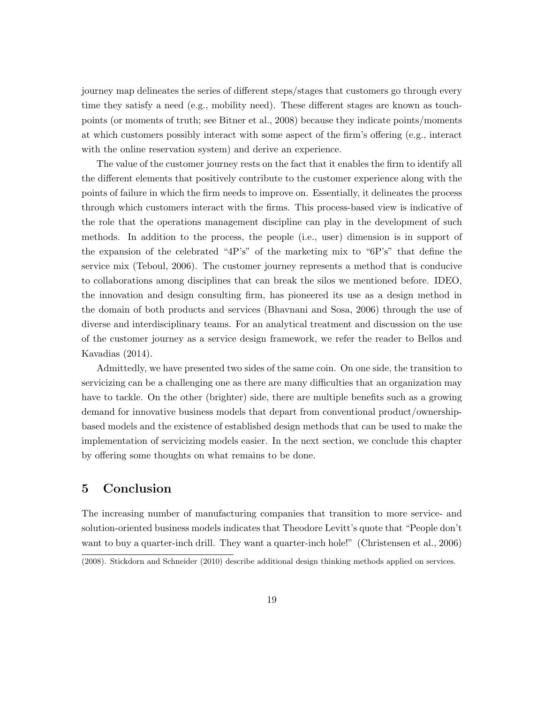<span id="page-18-1"></span>journey map delineates the series of different steps/stages that customers go through every time they satisfy a need (e.g., mobility need). These different stages are known as touchpoints (or moments of truth; see [Bitner et al., 2008\)](#page-20-8) because they indicate points/moments at which customers possibly interact with some aspect of the firm's offering (e.g., interact with the online reservation system) and derive an experience.

The value of the customer journey rests on the fact that it enables the firm to identify all the different elements that positively contribute to the customer experience along with the points of failure in which the firm needs to improve on. Essentially, it delineates the process through which customers interact with the firms. This process-based view is indicative of the role that the operations management discipline can play in the development of such methods. In addition to the process, the people (i.e., user) dimension is in support of the expansion of the celebrated "4P's" of the marketing mix to "6P's" that define the service mix [\(Teboul, 2006\)](#page-23-12). The customer journey represents a method that is conducive to collaborations among disciplines that can break the silos we mentioned before. IDEO, the innovation and design consulting firm, has pioneered its use as a design method in the domain of both products and services [\(Bhavnani and Sosa, 2006\)](#page-20-9) through the use of diverse and interdisciplinary teams. For an analytical treatment and discussion on the use of the customer journey as a service design framework, we refer the reader to [Bellos and](#page-20-10) [Kavadias](#page-20-10) [\(2014\)](#page-20-10).

Admittedly, we have presented two sides of the same coin. On one side, the transition to servicizing can be a challenging one as there are many difficulties that an organization may have to tackle. On the other (brighter) side, there are multiple benefits such as a growing demand for innovative business models that depart from conventional product/ownershipbased models and the existence of established design methods that can be used to make the implementation of servicizing models easier. In the next section, we conclude this chapter by offering some thoughts on what remains to be done.

# <span id="page-18-0"></span>5 Conclusion

The increasing number of manufacturing companies that transition to more service- and solution-oriented business models indicates that Theodore Levitt's quote that "People don't want to buy a quarter-inch drill. They want a quarter-inch hole!" [\(Christensen et al., 2006\)](#page-20-11)

[<sup>\(2008\)</sup>](#page-20-8). [Stickdorn and Schneider](#page-23-13) [\(2010\)](#page-23-13) describe additional design thinking methods applied on services.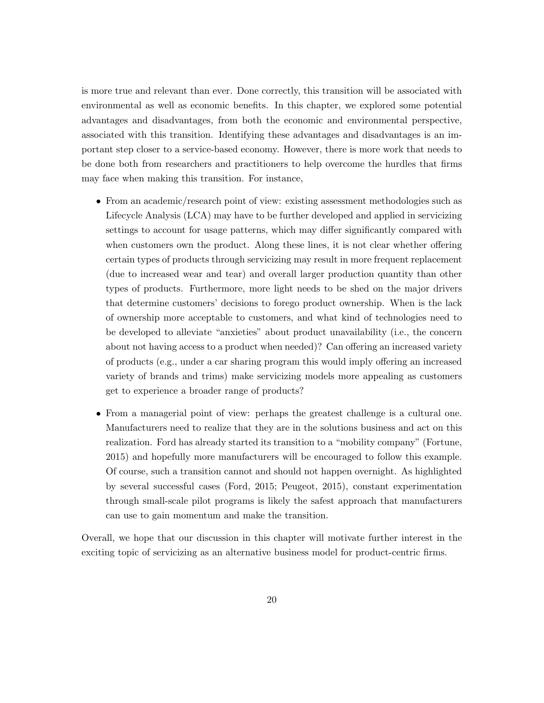<span id="page-19-0"></span>is more true and relevant than ever. Done correctly, this transition will be associated with environmental as well as economic benefits. In this chapter, we explored some potential advantages and disadvantages, from both the economic and environmental perspective, associated with this transition. Identifying these advantages and disadvantages is an important step closer to a service-based economy. However, there is more work that needs to be done both from researchers and practitioners to help overcome the hurdles that firms may face when making this transition. For instance,

- From an academic/research point of view: existing assessment methodologies such as Lifecycle Analysis (LCA) may have to be further developed and applied in servicizing settings to account for usage patterns, which may differ significantly compared with when customers own the product. Along these lines, it is not clear whether offering certain types of products through servicizing may result in more frequent replacement (due to increased wear and tear) and overall larger production quantity than other types of products. Furthermore, more light needs to be shed on the major drivers that determine customers' decisions to forego product ownership. When is the lack of ownership more acceptable to customers, and what kind of technologies need to be developed to alleviate "anxieties" about product unavailability (i.e., the concern about not having access to a product when needed)? Can offering an increased variety of products (e.g., under a car sharing program this would imply offering an increased variety of brands and trims) make servicizing models more appealing as customers get to experience a broader range of products?
- From a managerial point of view: perhaps the greatest challenge is a cultural one. Manufacturers need to realize that they are in the solutions business and act on this realization. Ford has already started its transition to a "mobility company" [\(Fortune,](#page-21-11) [2015\)](#page-21-11) and hopefully more manufacturers will be encouraged to follow this example. Of course, such a transition cannot and should not happen overnight. As highlighted by several successful cases [\(Ford, 2015;](#page-21-12) [Peugeot, 2015\)](#page-22-12), constant experimentation through small-scale pilot programs is likely the safest approach that manufacturers can use to gain momentum and make the transition.

Overall, we hope that our discussion in this chapter will motivate further interest in the exciting topic of servicizing as an alternative business model for product-centric firms.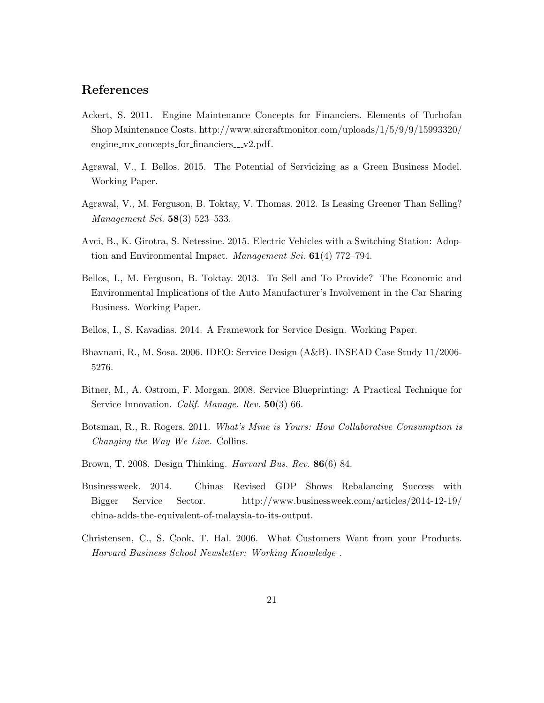### References

- <span id="page-20-4"></span>Ackert, S. 2011. Engine Maintenance Concepts for Financiers. Elements of Turbofan Shop Maintenance Costs. [http://www.aircraftmonitor.com/uploads/1/5/9/9/15993320/](http://www.aircraftmonitor.com/uploads/1/5/9/9/15993320/engine_mx_concepts_for_financiers___v2.pdf)  $engine_mx-concepts for-financies...v2.pdf.$
- <span id="page-20-2"></span>Agrawal, V., I. Bellos. 2015. The Potential of Servicizing as a Green Business Model. Working Paper.
- <span id="page-20-3"></span>Agrawal, V., M. Ferguson, B. Toktay, V. Thomas. 2012. Is Leasing Greener Than Selling? Management Sci. 58(3) 523–533.
- <span id="page-20-5"></span>Avci, B., K. Girotra, S. Netessine. 2015. Electric Vehicles with a Switching Station: Adoption and Environmental Impact. Management Sci.  $61(4)$  772–794.
- <span id="page-20-1"></span>Bellos, I., M. Ferguson, B. Toktay. 2013. To Sell and To Provide? The Economic and Environmental Implications of the Auto Manufacturer's Involvement in the Car Sharing Business. Working Paper.
- <span id="page-20-10"></span>Bellos, I., S. Kavadias. 2014. A Framework for Service Design. Working Paper.
- <span id="page-20-9"></span>Bhavnani, R., M. Sosa. 2006. IDEO: Service Design (A&B). INSEAD Case Study 11/2006- 5276.
- <span id="page-20-8"></span>Bitner, M., A. Ostrom, F. Morgan. 2008. Service Blueprinting: A Practical Technique for Service Innovation. Calif. Manage. Rev. 50(3) 66.
- <span id="page-20-6"></span>Botsman, R., R. Rogers. 2011. What's Mine is Yours: How Collaborative Consumption is Changing the Way We Live. Collins.
- <span id="page-20-7"></span>Brown, T. 2008. Design Thinking. Harvard Bus. Rev. 86(6) 84.
- <span id="page-20-0"></span>Businessweek. 2014. Chinas Revised GDP Shows Rebalancing Success with Bigger Service Sector. [http://www.businessweek.com/articles/2014-12-19/](http://www.businessweek.com/articles/2014-12-19/china-adds-the-equivalent-of-malaysia-to-its-output) [china-adds-the-equivalent-of-malaysia-to-its-output.](http://www.businessweek.com/articles/2014-12-19/china-adds-the-equivalent-of-malaysia-to-its-output)
- <span id="page-20-11"></span>Christensen, C., S. Cook, T. Hal. 2006. What Customers Want from your Products. Harvard Business School Newsletter: Working Knowledge .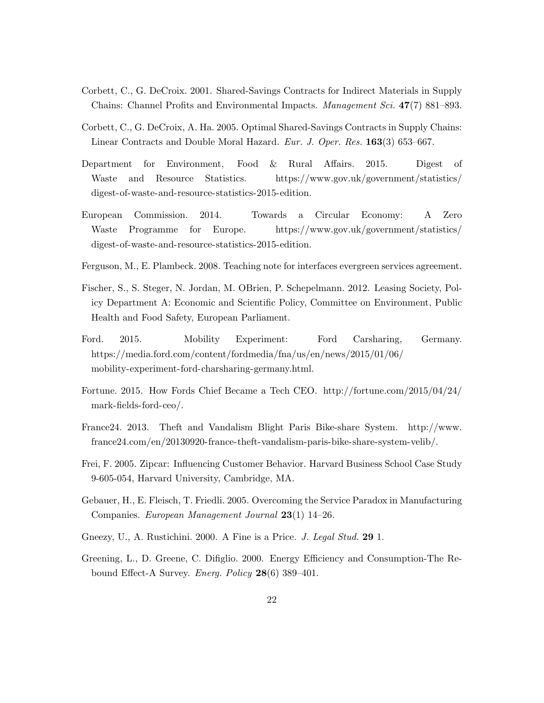- <span id="page-21-3"></span>Corbett, C., G. DeCroix. 2001. Shared-Savings Contracts for Indirect Materials in Supply Chains: Channel Profits and Environmental Impacts. Management Sci. 47(7) 881–893.
- <span id="page-21-4"></span>Corbett, C., G. DeCroix, A. Ha. 2005. Optimal Shared-Savings Contracts in Supply Chains: Linear Contracts and Double Moral Hazard. Eur. J. Oper. Res. 163(3) 653–667.
- <span id="page-21-0"></span>Department for Environment, Food & Rural Affairs. 2015. Digest of Waste and Resource Statistics. [https://www.gov.uk/government/statistics/](https://www.gov.uk/government/statistics/digest-of-waste-and-resource-statistics-2015-edition) [digest-of-waste-and-resource-statistics-2015-edition.](https://www.gov.uk/government/statistics/digest-of-waste-and-resource-statistics-2015-edition)
- <span id="page-21-1"></span>European Commission. 2014. Towards a Circular Economy: A Zero Waste Programme for Europe. [https://www.gov.uk/government/statistics/](https://www.gov.uk/government/statistics/digest-of-waste-and-resource-statistics-2015-edition) [digest-of-waste-and-resource-statistics-2015-edition.](https://www.gov.uk/government/statistics/digest-of-waste-and-resource-statistics-2015-edition)
- <span id="page-21-7"></span>Ferguson, M., E. Plambeck. 2008. Teaching note for interfaces evergreen services agreement.
- <span id="page-21-2"></span>Fischer, S., S. Steger, N. Jordan, M. OBrien, P. Schepelmann. 2012. Leasing Society, Policy Department A: Economic and Scientific Policy, Committee on Environment, Public Health and Food Safety, European Parliament.
- <span id="page-21-12"></span>Ford. 2015. Mobility Experiment: Ford Carsharing, Germany. [https://media.ford.com/content/fordmedia/fna/us/en/news/2015/01/06/](https://media.ford.com/content/fordmedia/fna/us/en/news/2015/01/06/mobility-experiment-ford-charsharing-germany.html) [mobility-experiment-ford-charsharing-germany.html.](https://media.ford.com/content/fordmedia/fna/us/en/news/2015/01/06/mobility-experiment-ford-charsharing-germany.html)
- <span id="page-21-11"></span>Fortune. 2015. How Fords Chief Became a Tech CEO. [http://fortune.com/2015/04/24/](http://fortune.com/2015/04/24/mark-fields-ford-ceo/) [mark-fields-ford-ceo/.](http://fortune.com/2015/04/24/mark-fields-ford-ceo/)
- <span id="page-21-8"></span>France24. 2013. Theft and Vandalism Blight Paris Bike-share System. [http://www.](http://www.france24.com/en/20130920-france-theft-vandalism-paris-bike-share-system-velib/) [france24.com/en/20130920-france-theft-vandalism-paris-bike-share-system-velib/.](http://www.france24.com/en/20130920-france-theft-vandalism-paris-bike-share-system-velib/)
- <span id="page-21-9"></span>Frei, F. 2005. Zipcar: Influencing Customer Behavior. Harvard Business School Case Study 9-605-054, Harvard University, Cambridge, MA.
- <span id="page-21-6"></span>Gebauer, H., E. Fleisch, T. Friedli. 2005. Overcoming the Service Paradox in Manufacturing Companies. European Management Journal 23(1) 14–26.
- <span id="page-21-10"></span>Gneezy, U., A. Rustichini. 2000. A Fine is a Price. J. Legal Stud. 29 1.
- <span id="page-21-5"></span>Greening, L., D. Greene, C. Difiglio. 2000. Energy Efficiency and Consumption-The Rebound Effect-A Survey. Energ. Policy 28(6) 389–401.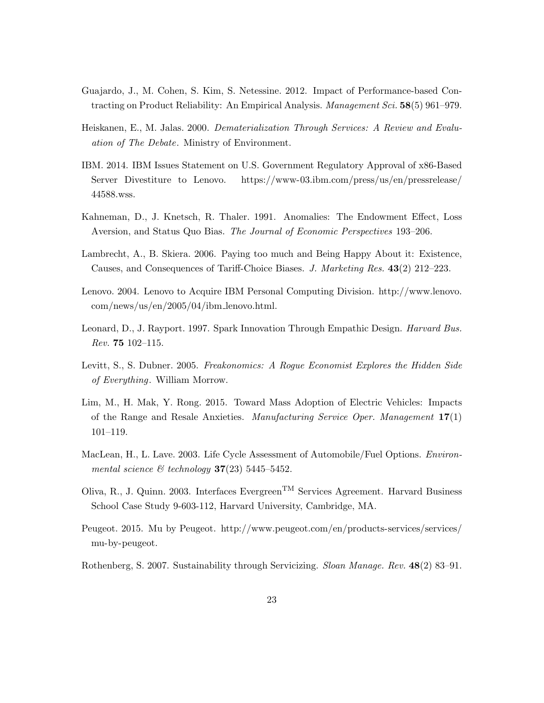- <span id="page-22-5"></span>Guajardo, J., M. Cohen, S. Kim, S. Netessine. 2012. Impact of Performance-based Contracting on Product Reliability: An Empirical Analysis. Management Sci. 58(5) 961–979.
- <span id="page-22-3"></span>Heiskanen, E., M. Jalas. 2000. Dematerialization Through Services: A Review and Evaluation of The Debate. Ministry of Environment.
- <span id="page-22-1"></span>IBM. 2014. IBM Issues Statement on U.S. Government Regulatory Approval of x86-Based Server Divestiture to Lenovo. [https://www-03.ibm.com/press/us/en/pressrelease/](https://www-03.ibm.com/press/us/en/pressrelease/44588.wss) [44588.wss.](https://www-03.ibm.com/press/us/en/pressrelease/44588.wss)
- <span id="page-22-8"></span>Kahneman, D., J. Knetsch, R. Thaler. 1991. Anomalies: The Endowment Effect, Loss Aversion, and Status Quo Bias. The Journal of Economic Perspectives 193–206.
- <span id="page-22-4"></span>Lambrecht, A., B. Skiera. 2006. Paying too much and Being Happy About it: Existence, Causes, and Consequences of Tariff-Choice Biases. J. Marketing Res. 43(2) 212–223.
- <span id="page-22-0"></span>Lenovo. 2004. Lenovo to Acquire IBM Personal Computing Division. [http://www.lenovo.](http://www.lenovo.com/news/us/en/2005/04/ibm_lenovo.html) [com/news/us/en/2005/04/ibm](http://www.lenovo.com/news/us/en/2005/04/ibm_lenovo.html) lenovo.html.
- <span id="page-22-11"></span>Leonard, D., J. Rayport. 1997. Spark Innovation Through Empathic Design. *Harvard Bus.* Rev. 75 102–115.
- <span id="page-22-10"></span>Levitt, S., S. Dubner. 2005. Freakonomics: A Rogue Economist Explores the Hidden Side of Everything. William Morrow.
- <span id="page-22-9"></span>Lim, M., H. Mak, Y. Rong. 2015. Toward Mass Adoption of Electric Vehicles: Impacts of the Range and Resale Anxieties. Manufacturing Service Oper. Manufacturing  $17(1)$ 101–119.
- <span id="page-22-6"></span>MacLean, H., L. Lave. 2003. Life Cycle Assessment of Automobile/Fuel Options. *Environ*mental science  $\mathfrak G$  technology **37**(23) 5445-5452.
- <span id="page-22-7"></span>Oliva, R., J. Quinn. 2003. Interfaces Evergreen<sup>TM</sup> Services Agreement. Harvard Business School Case Study 9-603-112, Harvard University, Cambridge, MA.
- <span id="page-22-12"></span>Peugeot. 2015. Mu by Peugeot. [http://www.peugeot.com/en/products-services/services/](http://www.peugeot.com/en/products-services/services/mu-by-peugeot) [mu-by-peugeot.](http://www.peugeot.com/en/products-services/services/mu-by-peugeot)
- <span id="page-22-2"></span>Rothenberg, S. 2007. Sustainability through Servicizing. Sloan Manage. Rev. 48(2) 83–91.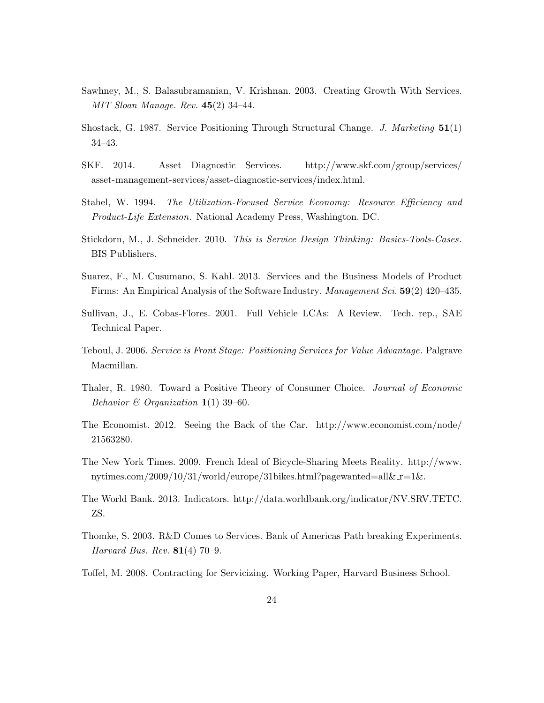- <span id="page-23-3"></span>Sawhney, M., S. Balasubramanian, V. Krishnan. 2003. Creating Growth With Services. MIT Sloan Manage. Rev.  $45(2)$  34–44.
- <span id="page-23-11"></span>Shostack, G. 1987. Service Positioning Through Structural Change. J. Marketing 51(1) 34–43.
- <span id="page-23-1"></span>SKF. 2014. Asset Diagnostic Services. [http://www.skf.com/group/services/](http://www.skf.com/group/services/asset-management-services/asset-diagnostic-services/index.html) [asset-management-services/asset-diagnostic-services/index.html.](http://www.skf.com/group/services/asset-management-services/asset-diagnostic-services/index.html)
- <span id="page-23-2"></span>Stahel, W. 1994. The Utilization-Focused Service Economy: Resource Efficiency and Product-Life Extension. National Academy Press, Washington. DC.
- <span id="page-23-13"></span>Stickdorn, M., J. Schneider. 2010. This is Service Design Thinking: Basics-Tools-Cases . BIS Publishers.
- <span id="page-23-5"></span>Suarez, F., M. Cusumano, S. Kahl. 2013. Services and the Business Models of Product Firms: An Empirical Analysis of the Software Industry. *Management Sci.* 59(2) 420–435.
- <span id="page-23-4"></span>Sullivan, J., E. Cobas-Flores. 2001. Full Vehicle LCAs: A Review. Tech. rep., SAE Technical Paper.
- <span id="page-23-12"></span>Teboul, J. 2006. Service is Front Stage: Positioning Services for Value Advantage. Palgrave Macmillan.
- <span id="page-23-7"></span>Thaler, R. 1980. Toward a Positive Theory of Consumer Choice. Journal of Economic Behavior  $\mathcal B$  Organization 1(1) 39–60.
- <span id="page-23-8"></span>The Economist. 2012. Seeing the Back of the Car. [http://www.economist.com/node/](http://www.economist.com/node/21563280) [21563280.](http://www.economist.com/node/21563280)
- <span id="page-23-9"></span>The New York Times. 2009. French Ideal of Bicycle-Sharing Meets Reality. [http://www.](http://www.nytimes.com/2009/10/31/world/europe/31bikes.html?pagewanted=all&_r=1&) [nytimes.com/2009/10/31/world/europe/31bikes.html?pagewanted=all&](http://www.nytimes.com/2009/10/31/world/europe/31bikes.html?pagewanted=all&_r=1&)  $r=1$ &.
- <span id="page-23-0"></span>The World Bank. 2013. Indicators. [http://data.worldbank.org/indicator/NV.SRV.TETC.](http://data.worldbank.org/indicator/NV.SRV.TETC.ZS) [ZS.](http://data.worldbank.org/indicator/NV.SRV.TETC.ZS)
- <span id="page-23-10"></span>Thomke, S. 2003. R&D Comes to Services. Bank of Americas Path breaking Experiments. Harvard Bus. Rev. 81(4) 70–9.
- <span id="page-23-6"></span>Toffel, M. 2008. Contracting for Servicizing. Working Paper, Harvard Business School.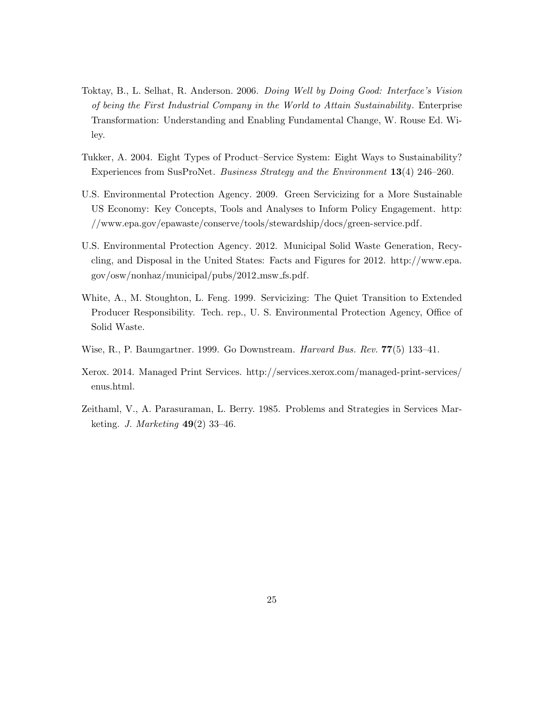- <span id="page-24-7"></span>Toktay, B., L. Selhat, R. Anderson. 2006. Doing Well by Doing Good: Interface's Vision of being the First Industrial Company in the World to Attain Sustainability. Enterprise Transformation: Understanding and Enabling Fundamental Change, W. Rouse Ed. Wiley.
- <span id="page-24-3"></span>Tukker, A. 2004. Eight Types of Product–Service System: Eight Ways to Sustainability? Experiences from SusProNet. Business Strategy and the Environment 13(4) 246–260.
- <span id="page-24-1"></span>U.S. Environmental Protection Agency. 2009. Green Servicizing for a More Sustainable US Economy: Key Concepts, Tools and Analyses to Inform Policy Engagement. [http:](http://www.epa.gov/epawaste/conserve/tools/stewardship/docs/green-service.pdf) [//www.epa.gov/epawaste/conserve/tools/stewardship/docs/green-service.pdf.](http://www.epa.gov/epawaste/conserve/tools/stewardship/docs/green-service.pdf)
- <span id="page-24-0"></span>U.S. Environmental Protection Agency. 2012. Municipal Solid Waste Generation, Recycling, and Disposal in the United States: Facts and Figures for 2012. [http://www.epa.](http://www.epa.gov/osw/nonhaz/municipal/pubs/2012_msw_fs.pdf) [gov/osw/nonhaz/municipal/pubs/2012](http://www.epa.gov/osw/nonhaz/municipal/pubs/2012_msw_fs.pdf) msw fs.pdf.
- <span id="page-24-2"></span>White, A., M. Stoughton, L. Feng. 1999. Servicizing: The Quiet Transition to Extended Producer Responsibility. Tech. rep., U. S. Environmental Protection Agency, Office of Solid Waste.
- <span id="page-24-5"></span>Wise, R., P. Baumgartner. 1999. Go Downstream. Harvard Bus. Rev.  $77(5)$  133–41.
- <span id="page-24-4"></span>Xerox. 2014. Managed Print Services. [http://services.xerox.com/managed-print-services/](http://services.xerox.com/managed-print-services/enus.html) [enus.html.](http://services.xerox.com/managed-print-services/enus.html)
- <span id="page-24-6"></span>Zeithaml, V., A. Parasuraman, L. Berry. 1985. Problems and Strategies in Services Marketing. J. Marketing 49(2) 33–46.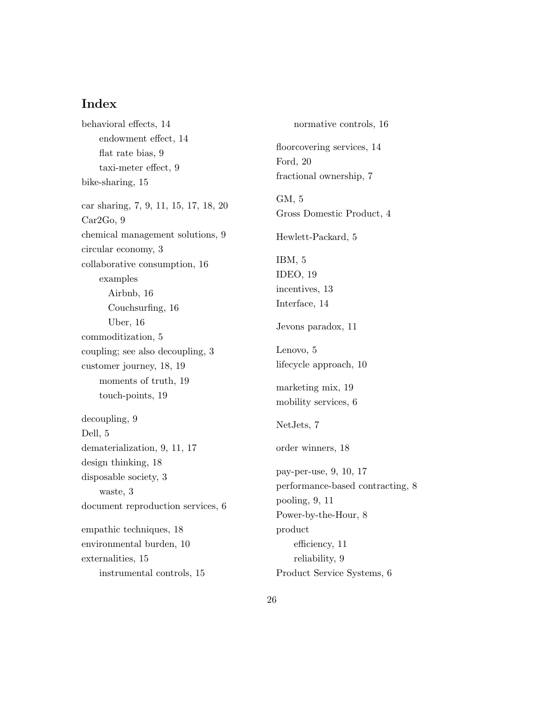# Index

behavioral effects, [14](#page-13-0) endowment effect, [14](#page-13-0) flat rate bias, [9](#page-8-1) taxi-meter effect, [9](#page-8-1) bike-sharing, [15](#page-14-0) car sharing, [7,](#page-6-1) [9,](#page-8-1) [11,](#page-10-2) [15,](#page-14-0) [17,](#page-16-1) [18,](#page-17-1) [20](#page-19-0) Car2Go, [9](#page-8-1) chemical management solutions, [9](#page-8-1) circular economy, [3](#page-2-1) collaborative consumption, [16](#page-15-2) examples Airbnb, [16](#page-15-2) Couchsurfing, [16](#page-15-2) Uber, [16](#page-15-2) commoditization, [5](#page-4-1) coupling; see also decoupling, [3](#page-2-1) customer journey, [18,](#page-17-1) [19](#page-18-1) moments of truth, [19](#page-18-1) touch-points, [19](#page-18-1) decoupling, [9](#page-8-1) Dell, [5](#page-4-1) dematerialization, [9,](#page-8-1) [11,](#page-10-2) [17](#page-16-1) design thinking, [18](#page-17-1) disposable society, [3](#page-2-1) waste, [3](#page-2-1) document reproduction services, [6](#page-5-2) empathic techniques, [18](#page-17-1) environmental burden, [10](#page-9-1) externalities, [15](#page-14-0) instrumental controls, [15](#page-14-0)

normative controls, [16](#page-15-2) floorcovering services, [14](#page-13-0) Ford, [20](#page-19-0) fractional ownership, [7](#page-6-1) GM, [5](#page-4-1) Gross Domestic Product, [4](#page-3-2) Hewlett-Packard, [5](#page-4-1) IBM, [5](#page-4-1) IDEO, [19](#page-18-1) incentives, [13](#page-12-0) Interface, [14](#page-13-0) Jevons paradox, [11](#page-10-2) Lenovo, [5](#page-4-1) lifecycle approach, [10](#page-9-1) marketing mix, [19](#page-18-1) mobility services, [6](#page-5-2) NetJets, [7](#page-6-1) order winners, [18](#page-17-1) pay-per-use, [9,](#page-8-1) [10,](#page-9-1) [17](#page-16-1) performance-based contracting, [8](#page-7-2) pooling, [9,](#page-8-1) [11](#page-10-2) Power-by-the-Hour, [8](#page-7-2) product efficiency, [11](#page-10-2) reliability, [9](#page-8-1) Product Service Systems, [6](#page-5-2)